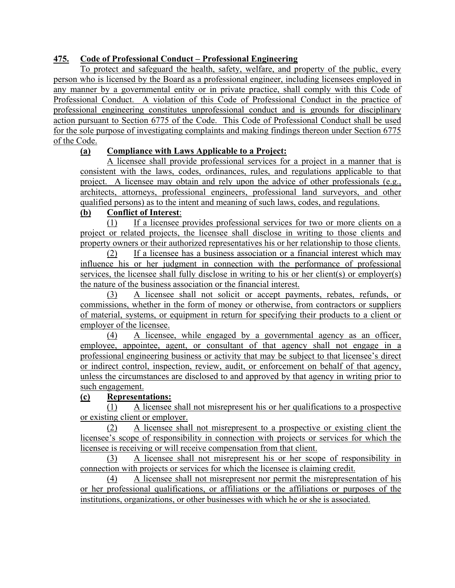# **475. Code of Professional Conduct – Professional Engineering**

To protect and safeguard the health, safety, welfare, and property of the public, every person who is licensed by the Board as a professional engineer, including licensees employed in any manner by a governmental entity or in private practice, shall comply with this Code of Professional Conduct. A violation of this Code of Professional Conduct in the practice of professional engineering constitutes unprofessional conduct and is grounds for disciplinary action pursuant to Section 6775 of the Code. This Code of Professional Conduct shall be used for the sole purpose of investigating complaints and making findings thereon under Section 6775 of the Code.

## **(a) Compliance with Laws Applicable to a Project:**

A licensee shall provide professional services for a project in a manner that is consistent with the laws, codes, ordinances, rules, and regulations applicable to that project. A licensee may obtain and rely upon the advice of other professionals (e.g., architects, attorneys, professional engineers, professional land surveyors, and other qualified persons) as to the intent and meaning of such laws, codes, and regulations.

### **(b) Conflict of Interest**:

(1) If a licensee provides professional services for two or more clients on a project or related projects, the licensee shall disclose in writing to those clients and property owners or their authorized representatives his or her relationship to those clients.

(2) If a licensee has a business association or a financial interest which may influence his or her judgment in connection with the performance of professional services, the licensee shall fully disclose in writing to his or her client(s) or employer(s) the nature of the business association or the financial interest.

(3) A licensee shall not solicit or accept payments, rebates, refunds, or commissions, whether in the form of money or otherwise, from contractors or suppliers of material, systems, or equipment in return for specifying their products to a client or employer of the licensee.

(4) A licensee, while engaged by a governmental agency as an officer, employee, appointee, agent, or consultant of that agency shall not engage in a professional engineering business or activity that may be subject to that licensee's direct or indirect control, inspection, review, audit, or enforcement on behalf of that agency, unless the circumstances are disclosed to and approved by that agency in writing prior to such engagement.

### **(c) Representations:**

(1) A licensee shall not misrepresent his or her qualifications to a prospective or existing client or employer.

(2) A licensee shall not misrepresent to a prospective or existing client the licensee's scope of responsibility in connection with projects or services for which the licensee is receiving or will receive compensation from that client.

(3) A licensee shall not misrepresent his or her scope of responsibility in connection with projects or services for which the licensee is claiming credit.

(4) A licensee shall not misrepresent nor permit the misrepresentation of his or her professional qualifications, or affiliations or the affiliations or purposes of the institutions, organizations, or other businesses with which he or she is associated.